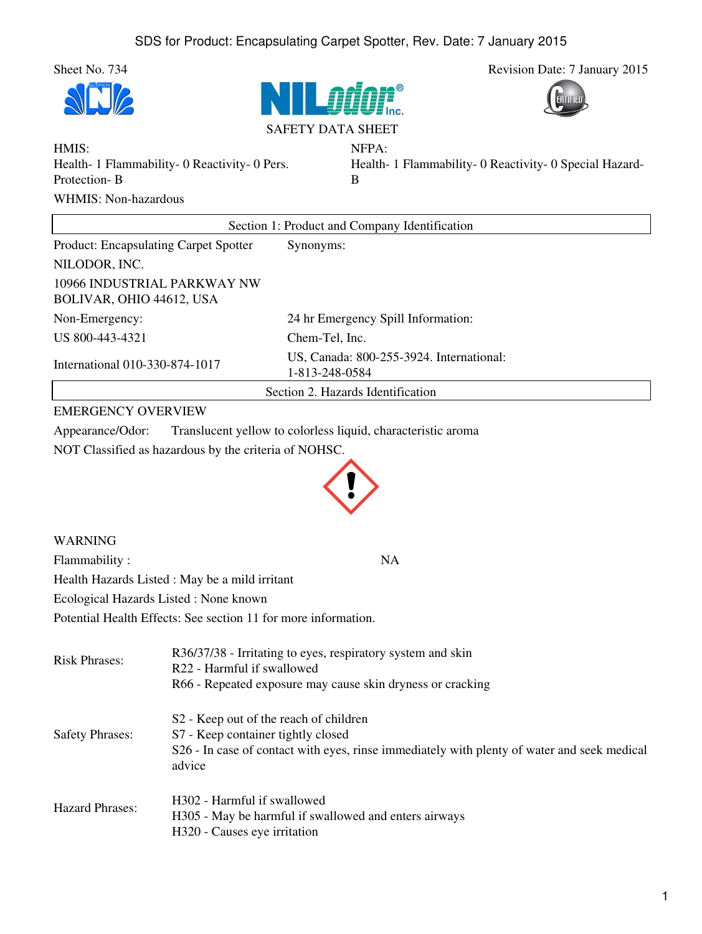







NFPA:

HMIS: Health- 1 Flammability- 0 Reactivity- 0 Pers. Protection- B WHMIS: Non-hazardous

Health- 1 Flammability- 0 Reactivity- 0 Special Hazard-B

| Section 1: Product and Company Identification           |                                                            |
|---------------------------------------------------------|------------------------------------------------------------|
| <b>Product: Encapsulating Carpet Spotter</b>            | Synonyms:                                                  |
| NILODOR, INC.                                           |                                                            |
| 10966 INDUSTRIAL PARKWAY NW<br>BOLIVAR, OHIO 44612, USA |                                                            |
| Non-Emergency:                                          | 24 hr Emergency Spill Information:                         |
| US 800-443-4321                                         | Chem-Tel, Inc.                                             |
| International 010-330-874-1017                          | US, Canada: 800-255-3924. International:<br>1-813-248-0584 |
| Section 2. Hazards Identification                       |                                                            |

## EMERGENCY OVERVIEW

Appearance/Odor: Translucent yellow to colorless liquid, characteristic aroma

NOT Classified as hazardous by the criteria of NOHSC.



WARNING Flammability : NA Health Hazards Listed : May be a mild irritant Ecological Hazards Listed : None known Potential Health Effects: See section 11 for more information.

| <b>Risk Phrases:</b>   | R36/37/38 - Irritating to eyes, respiratory system and skin<br>R22 - Harmful if swallowed<br>R66 - Repeated exposure may cause skin dryness or cracking                                           |
|------------------------|---------------------------------------------------------------------------------------------------------------------------------------------------------------------------------------------------|
| <b>Safety Phrases:</b> | S <sub>2</sub> - Keep out of the reach of children<br>S7 - Keep container tightly closed<br>S26 - In case of contact with eyes, rinse immediately with plenty of water and seek medical<br>advice |
| Hazard Phrases:        | H302 - Harmful if swallowed<br>H305 - May be harmful if swallowed and enters airways<br>H320 - Causes eye irritation                                                                              |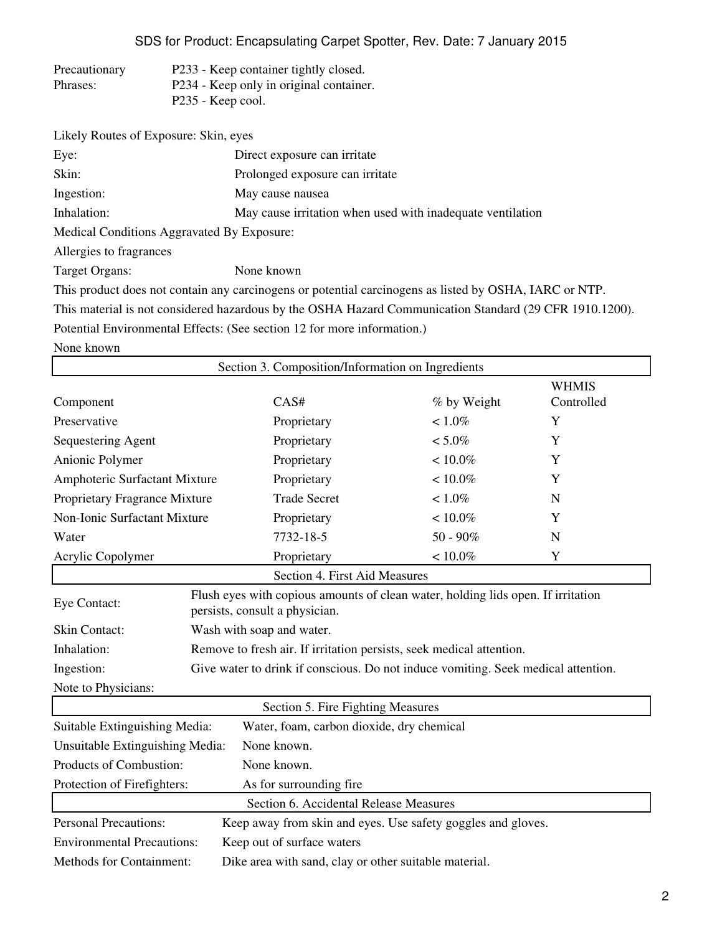SDS for Product: Encapsulating Carpet Spotter, Rev. Date: 7 January 2015

| Precautionary | P233 - Keep container tightly closed.   |
|---------------|-----------------------------------------|
| Phrases:      | P234 - Keep only in original container. |
|               | P235 - Keep cool.                       |

| Likely Routes of Exposure: Skin, eyes      |                                                                                                         |
|--------------------------------------------|---------------------------------------------------------------------------------------------------------|
| Eye:                                       | Direct exposure can irritate                                                                            |
| Skin:                                      | Prolonged exposure can irritate                                                                         |
| Ingestion:                                 | May cause nausea                                                                                        |
| Inhalation:                                | May cause irritation when used with inadequate ventilation                                              |
| Medical Conditions Aggravated By Exposure: |                                                                                                         |
| Allergies to fragrances                    |                                                                                                         |
| Target Organs:                             | None known                                                                                              |
|                                            | This product does not contain any carcinogens or potential carcinogens as listed by OSHA, IARC or NTP.  |
|                                            | This material is not considered hazardous by the OSHA Hazard Communication Standard (29 CFR 1910.1200). |

Potential Environmental Effects: (See section 12 for more information.)

None known

|                                                                                          |  | Section 3. Composition/Information on Ingredients                                                                  |             |                            |
|------------------------------------------------------------------------------------------|--|--------------------------------------------------------------------------------------------------------------------|-------------|----------------------------|
| Component                                                                                |  | CAS#                                                                                                               | % by Weight | <b>WHMIS</b><br>Controlled |
| Preservative                                                                             |  | Proprietary                                                                                                        | $< 1.0\%$   | Y                          |
| Sequestering Agent                                                                       |  | Proprietary                                                                                                        | $< 5.0\%$   | Y                          |
| Anionic Polymer                                                                          |  | Proprietary                                                                                                        | $< 10.0\%$  | Y                          |
| Amphoteric Surfactant Mixture                                                            |  | Proprietary                                                                                                        | $< 10.0\%$  | Y                          |
| Proprietary Fragrance Mixture                                                            |  | <b>Trade Secret</b>                                                                                                | $< 1.0\%$   | $\mathbf N$                |
| Non-Ionic Surfactant Mixture                                                             |  | Proprietary                                                                                                        | $< 10.0\%$  | Y                          |
| Water                                                                                    |  | 7732-18-5                                                                                                          | $50 - 90\%$ | N                          |
| Acrylic Copolymer                                                                        |  | Proprietary                                                                                                        | $< 10.0\%$  | Y                          |
|                                                                                          |  | Section 4. First Aid Measures                                                                                      |             |                            |
| Eye Contact:                                                                             |  | Flush eyes with copious amounts of clean water, holding lids open. If irritation<br>persists, consult a physician. |             |                            |
| Skin Contact:                                                                            |  | Wash with soap and water.                                                                                          |             |                            |
| Inhalation:                                                                              |  | Remove to fresh air. If irritation persists, seek medical attention.                                               |             |                            |
| Ingestion:                                                                               |  | Give water to drink if conscious. Do not induce vomiting. Seek medical attention.                                  |             |                            |
| Note to Physicians:                                                                      |  |                                                                                                                    |             |                            |
|                                                                                          |  | Section 5. Fire Fighting Measures                                                                                  |             |                            |
| Suitable Extinguishing Media:                                                            |  | Water, foam, carbon dioxide, dry chemical                                                                          |             |                            |
| Unsuitable Extinguishing Media:<br>None known.                                           |  |                                                                                                                    |             |                            |
| Products of Combustion:                                                                  |  | None known.                                                                                                        |             |                            |
| Protection of Firefighters:                                                              |  | As for surrounding fire                                                                                            |             |                            |
|                                                                                          |  | Section 6. Accidental Release Measures                                                                             |             |                            |
| <b>Personal Precautions:</b>                                                             |  | Keep away from skin and eyes. Use safety goggles and gloves.                                                       |             |                            |
| <b>Environmental Precautions:</b>                                                        |  | Keep out of surface waters                                                                                         |             |                            |
| <b>Methods for Containment:</b><br>Dike area with sand, clay or other suitable material. |  |                                                                                                                    |             |                            |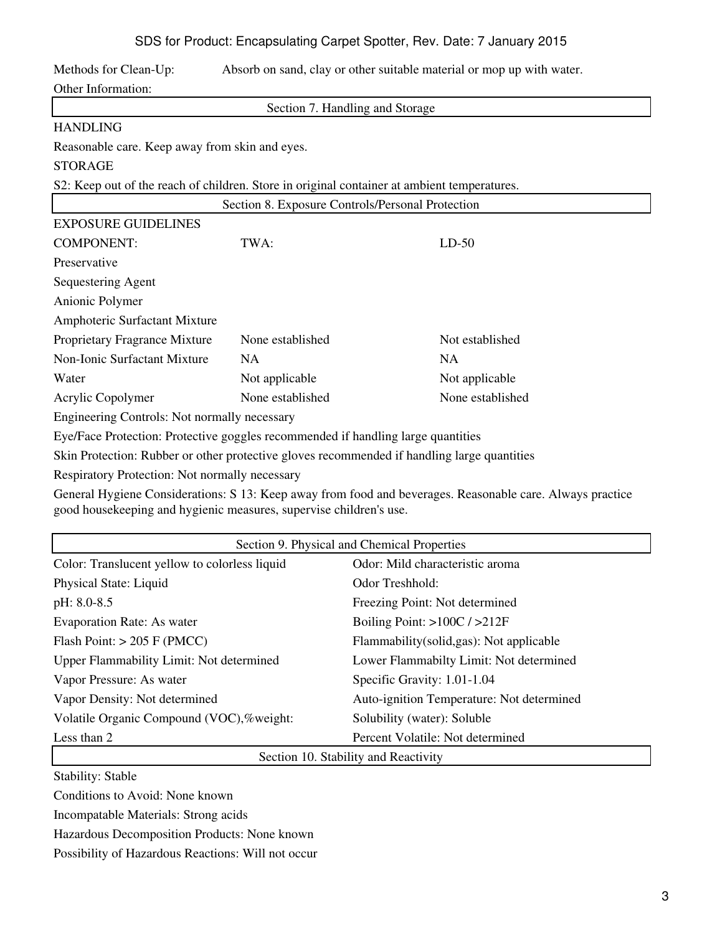# SDS for Product: Encapsulating Carpet Spotter, Rev. Date: 7 January 2015

Methods for Clean-Up: Absorb on sand, clay or other suitable material or mop up with water.

Other Information:

Section 7. Handling and Storage

#### HANDLING

Reasonable care. Keep away from skin and eyes.

# STORAGE

S2: Keep out of the reach of children. Store in original container at ambient temperatures.

|                                                                                             | Section 8. Exposure Controls/Personal Protection                                 |                  |
|---------------------------------------------------------------------------------------------|----------------------------------------------------------------------------------|------------------|
| <b>EXPOSURE GUIDELINES</b>                                                                  |                                                                                  |                  |
| <b>COMPONENT:</b>                                                                           | TWA:                                                                             | $LD-50$          |
| Preservative                                                                                |                                                                                  |                  |
| Sequestering Agent                                                                          |                                                                                  |                  |
| Anionic Polymer                                                                             |                                                                                  |                  |
| Amphoteric Surfactant Mixture                                                               |                                                                                  |                  |
| Proprietary Fragrance Mixture                                                               | None established                                                                 | Not established  |
| <b>Non-Ionic Surfactant Mixture</b>                                                         | <b>NA</b>                                                                        | <b>NA</b>        |
| Water                                                                                       | Not applicable                                                                   | Not applicable   |
| Acrylic Copolymer                                                                           | None established                                                                 | None established |
| Engineering Controls: Not normally necessary                                                |                                                                                  |                  |
|                                                                                             | Eye/Face Protection: Protective goggles recommended if handling large quantities |                  |
| Skin Protection: Rubber or other protective gloves recommended if handling large quantities |                                                                                  |                  |
| Respiratory Protection: Not normally necessary                                              |                                                                                  |                  |

General Hygiene Considerations: S 13: Keep away from food and beverages. Reasonable care. Always practice good housekeeping and hygienic measures, supervise children's use.

| Section 9. Physical and Chemical Properties   |                                           |  |
|-----------------------------------------------|-------------------------------------------|--|
| Color: Translucent yellow to colorless liquid | Odor: Mild characteristic aroma           |  |
| Physical State: Liquid                        | Odor Treshhold:                           |  |
| pH: 8.0-8.5                                   | Freezing Point: Not determined            |  |
| <b>Evaporation Rate: As water</b>             | Boiling Point: $>100C / >212F$            |  |
| Flash Point: $> 205$ F (PMCC)                 | Flammability (solid, gas): Not applicable |  |
| Upper Flammability Limit: Not determined      | Lower Flammabilty Limit: Not determined   |  |
| Vapor Pressure: As water                      | Specific Gravity: 1.01-1.04               |  |
| Vapor Density: Not determined                 | Auto-ignition Temperature: Not determined |  |
| Volatile Organic Compound (VOC),%weight:      | Solubility (water): Soluble               |  |
| Less than 2                                   | Percent Volatile: Not determined          |  |
| Section 10. Stability and Reactivity          |                                           |  |

Stability: Stable

Conditions to Avoid: None known

Incompatable Materials: Strong acids

Hazardous Decomposition Products: None known

Possibility of Hazardous Reactions: Will not occur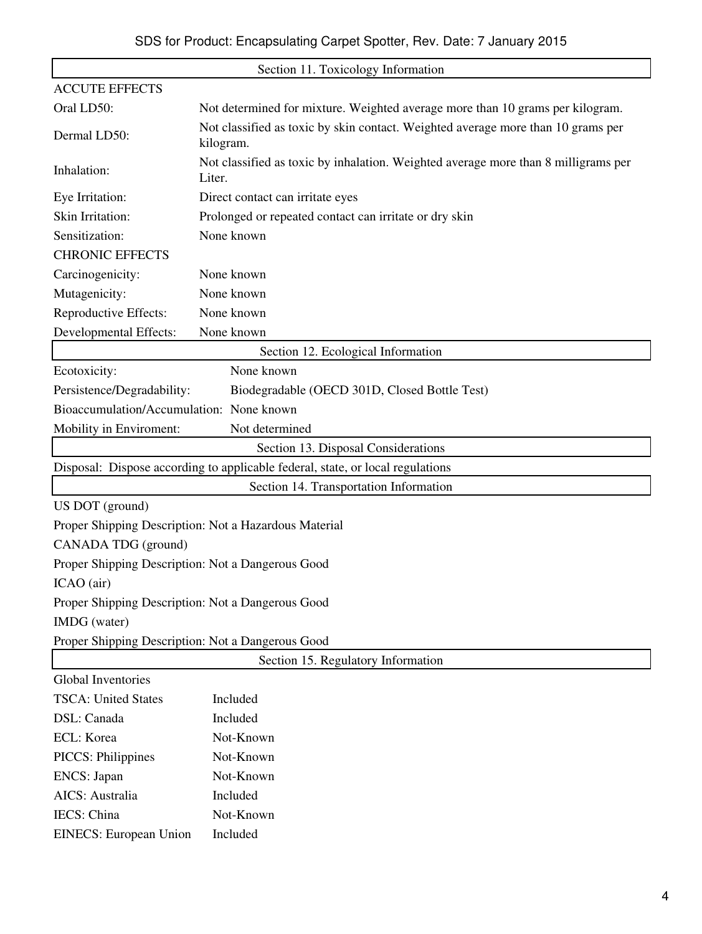| Section 11. Toxicology Information                |                                                                                               |  |
|---------------------------------------------------|-----------------------------------------------------------------------------------------------|--|
| <b>ACCUTE EFFECTS</b>                             |                                                                                               |  |
| Oral LD50:                                        | Not determined for mixture. Weighted average more than 10 grams per kilogram.                 |  |
| Dermal LD50:                                      | Not classified as toxic by skin contact. Weighted average more than 10 grams per<br>kilogram. |  |
| Inhalation:                                       | Not classified as toxic by inhalation. Weighted average more than 8 milligrams per<br>Liter.  |  |
| Eye Irritation:                                   | Direct contact can irritate eyes                                                              |  |
| Skin Irritation:                                  | Prolonged or repeated contact can irritate or dry skin                                        |  |
| Sensitization:                                    | None known                                                                                    |  |
| <b>CHRONIC EFFECTS</b>                            |                                                                                               |  |
| Carcinogenicity:                                  | None known                                                                                    |  |
| Mutagenicity:                                     | None known                                                                                    |  |
| Reproductive Effects:                             | None known                                                                                    |  |
| Developmental Effects:                            | None known                                                                                    |  |
|                                                   | Section 12. Ecological Information                                                            |  |
| Ecotoxicity:                                      | None known                                                                                    |  |
| Persistence/Degradability:                        | Biodegradable (OECD 301D, Closed Bottle Test)                                                 |  |
| Bioaccumulation/Accumulation: None known          |                                                                                               |  |
| Mobility in Enviroment:                           | Not determined                                                                                |  |
|                                                   | Section 13. Disposal Considerations                                                           |  |
|                                                   | Disposal: Dispose according to applicable federal, state, or local regulations                |  |
|                                                   | Section 14. Transportation Information                                                        |  |
| US DOT (ground)                                   |                                                                                               |  |
|                                                   | Proper Shipping Description: Not a Hazardous Material                                         |  |
| CANADA TDG (ground)                               |                                                                                               |  |
| Proper Shipping Description: Not a Dangerous Good |                                                                                               |  |
| ICAO (air)                                        |                                                                                               |  |
| Proper Shipping Description: Not a Dangerous Good |                                                                                               |  |
| IMDG (water)                                      |                                                                                               |  |
| Proper Shipping Description: Not a Dangerous Good |                                                                                               |  |
| Section 15. Regulatory Information                |                                                                                               |  |
| <b>Global Inventories</b>                         |                                                                                               |  |
| <b>TSCA: United States</b>                        | Included                                                                                      |  |
| DSL: Canada                                       | Included                                                                                      |  |
| ECL: Korea                                        | Not-Known                                                                                     |  |
| <b>PICCS: Philippines</b>                         | Not-Known                                                                                     |  |
| ENCS: Japan                                       | Not-Known                                                                                     |  |
| AICS: Australia                                   | Included                                                                                      |  |
| IECS: China                                       | Not-Known                                                                                     |  |
| <b>EINECS:</b> European Union                     | Included                                                                                      |  |
|                                                   |                                                                                               |  |